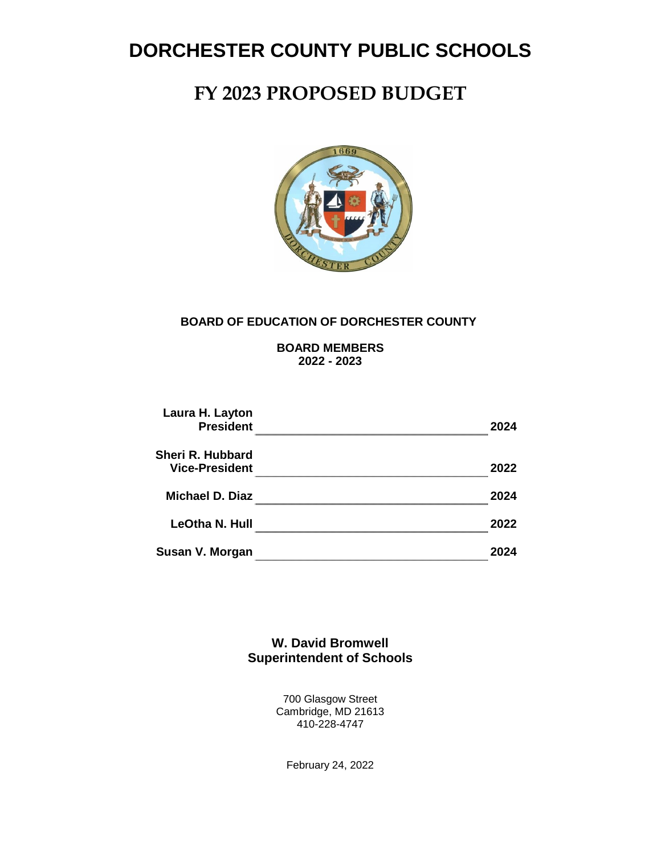# **FY 2023 PROPOSED BUDGET**



#### **BOARD OF EDUCATION OF DORCHESTER COUNTY**

**BOARD MEMBERS 2022 - 2023**

| Laura H. Layton<br><b>President</b>       | 2024<br> |
|-------------------------------------------|----------|
| Sheri R. Hubbard<br><b>Vice-President</b> | 2022     |
| Michael D. Diaz                           | 2024     |
| LeOtha N. Hull                            | 2022     |
| Susan V. Morgan                           |          |

**W. David Bromwell Superintendent of Schools**

> 700 Glasgow Street Cambridge, MD 21613 410-228-4747

> > February 24, 2022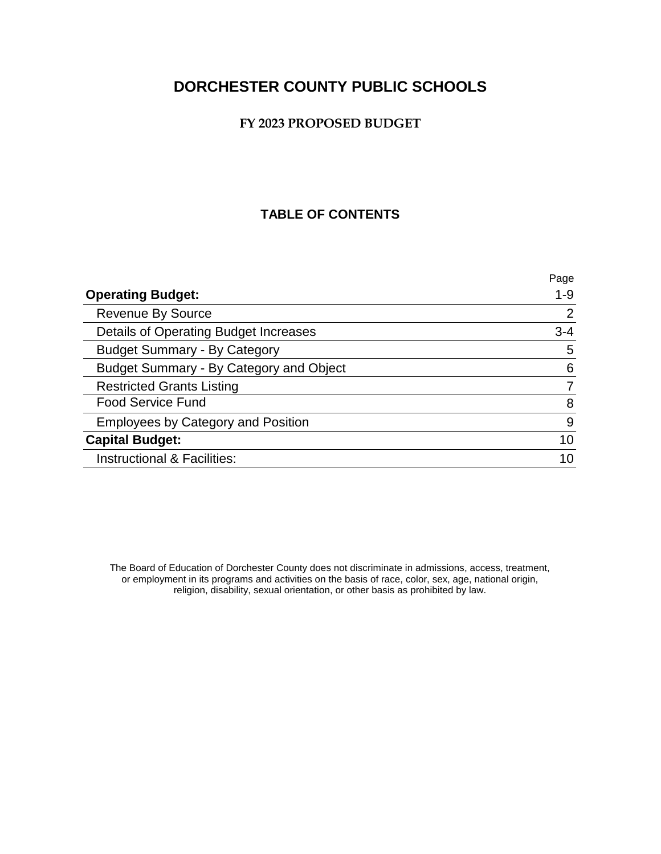#### **FY 2023 PROPOSED BUDGET**

### **TABLE OF CONTENTS**

|                                           | Page    |
|-------------------------------------------|---------|
| <b>Operating Budget:</b>                  | $1 - 9$ |
| <b>Revenue By Source</b>                  | 2       |
| Details of Operating Budget Increases     | $3 - 4$ |
| <b>Budget Summary - By Category</b>       | 5       |
| Budget Summary - By Category and Object   | 6       |
| <b>Restricted Grants Listing</b>          | 7       |
| <b>Food Service Fund</b>                  | 8       |
| <b>Employees by Category and Position</b> | 9       |
| <b>Capital Budget:</b>                    | 10      |
| Instructional & Facilities:               |         |

The Board of Education of Dorchester County does not discriminate in admissions, access, treatment, or employment in its programs and activities on the basis of race, color, sex, age, national origin, religion, disability, sexual orientation, or other basis as prohibited by law.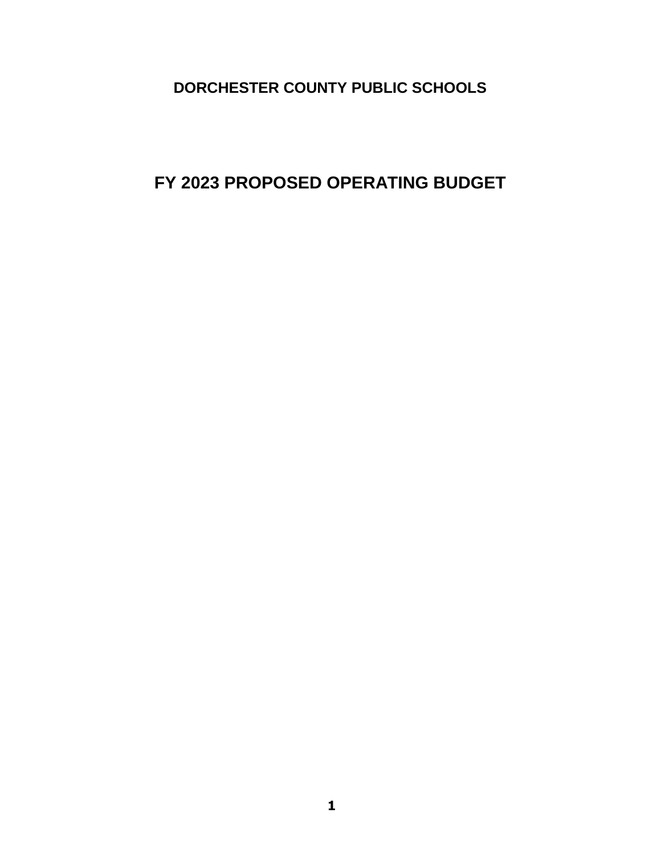**FY 2023 PROPOSED OPERATING BUDGET**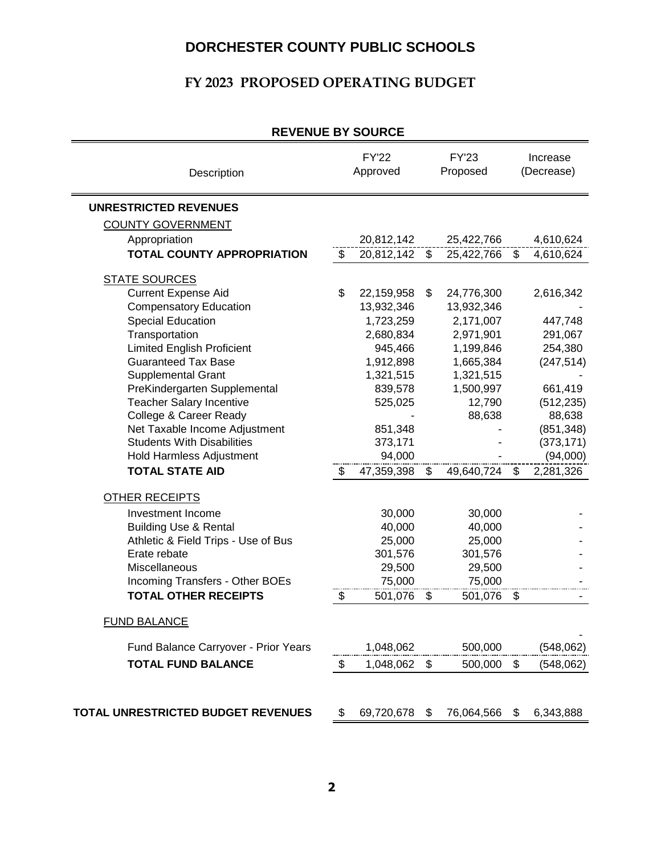### **FY 2023 PROPOSED OPERATING BUDGET**

| REVEINUE DI JUURUE                        |    |                          |       |                          |                           |                        |
|-------------------------------------------|----|--------------------------|-------|--------------------------|---------------------------|------------------------|
| Description                               |    | <b>FY'22</b><br>Approved |       | <b>FY'23</b><br>Proposed |                           | Increase<br>(Decrease) |
| <b>UNRESTRICTED REVENUES</b>              |    |                          |       |                          |                           |                        |
| <b>COUNTY GOVERNMENT</b>                  |    |                          |       |                          |                           |                        |
| Appropriation                             |    | 20,812,142               |       | 25,422,766               |                           | 4,610,624              |
| <b>TOTAL COUNTY APPROPRIATION</b>         | \$ | 20,812,142               | $\$\$ | 25,422,766               | $\boldsymbol{\mathsf{S}}$ | 4,610,624              |
| <b>STATE SOURCES</b>                      |    |                          |       |                          |                           |                        |
| <b>Current Expense Aid</b>                | \$ | 22,159,958               | \$    | 24,776,300               |                           | 2,616,342              |
| <b>Compensatory Education</b>             |    | 13,932,346               |       | 13,932,346               |                           |                        |
| <b>Special Education</b>                  |    | 1,723,259                |       | 2,171,007                |                           | 447,748                |
| Transportation                            |    | 2,680,834                |       | 2,971,901                |                           | 291,067                |
| <b>Limited English Proficient</b>         |    | 945,466                  |       | 1,199,846                |                           | 254,380                |
| <b>Guaranteed Tax Base</b>                |    | 1,912,898                |       | 1,665,384                |                           | (247, 514)             |
| <b>Supplemental Grant</b>                 |    | 1,321,515                |       | 1,321,515                |                           |                        |
| PreKindergarten Supplemental              |    | 839,578                  |       | 1,500,997                |                           | 661,419                |
| <b>Teacher Salary Incentive</b>           |    | 525,025                  |       | 12,790                   |                           | (512, 235)             |
| College & Career Ready                    |    |                          |       | 88,638                   |                           | 88,638                 |
| Net Taxable Income Adjustment             |    | 851,348                  |       |                          |                           | (851, 348)             |
| <b>Students With Disabilities</b>         |    | 373,171                  |       |                          |                           | (373, 171)             |
| Hold Harmless Adjustment                  |    | 94,000                   |       |                          |                           | (94,000)               |
| <b>TOTAL STATE AID</b>                    | \$ | 47,359,398               | \$    | 49,640,724               | \$                        | 2,281,326              |
| OTHER RECEIPTS                            |    |                          |       |                          |                           |                        |
| Investment Income                         |    | 30,000                   |       | 30,000                   |                           |                        |
| <b>Building Use &amp; Rental</b>          |    | 40,000                   |       | 40,000                   |                           |                        |
| Athletic & Field Trips - Use of Bus       |    | 25,000                   |       | 25,000                   |                           |                        |
| Erate rebate                              |    | 301,576                  |       | 301,576                  |                           |                        |
| Miscellaneous                             |    | 29,500                   |       | 29,500                   |                           |                        |
| Incoming Transfers - Other BOEs           |    | 75,000                   |       | 75,000                   |                           |                        |
| <b>TOTAL OTHER RECEIPTS</b>               | \$ | 501,076                  | \$    | 501,076                  | \$                        |                        |
| <b>FUND BALANCE</b>                       |    |                          |       |                          |                           |                        |
| Fund Balance Carryover - Prior Years      |    | 1,048,062                |       | 500,000                  |                           | (548, 062)             |
| <b>TOTAL FUND BALANCE</b>                 | \$ | 1,048,062                | \$    | 500,000                  | \$                        | (548,062)              |
| <b>TOTAL UNRESTRICTED BUDGET REVENUES</b> | \$ | 69,720,678               | S.    | 76,064,566               | \$                        | 6,343,888              |
|                                           |    |                          |       |                          |                           |                        |

#### **REVENUE BY SOURCE**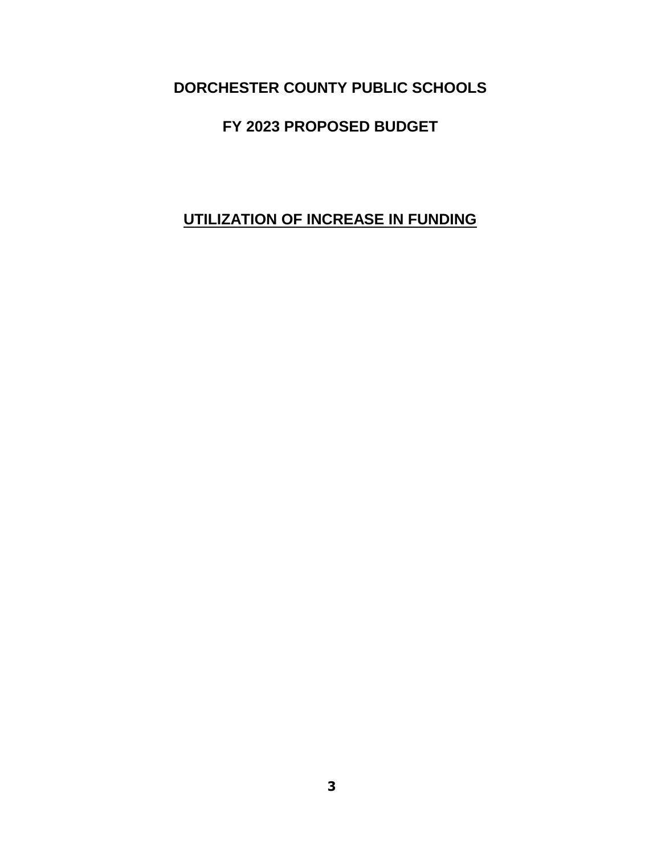# **FY 2023 PROPOSED BUDGET**

# **UTILIZATION OF INCREASE IN FUNDING**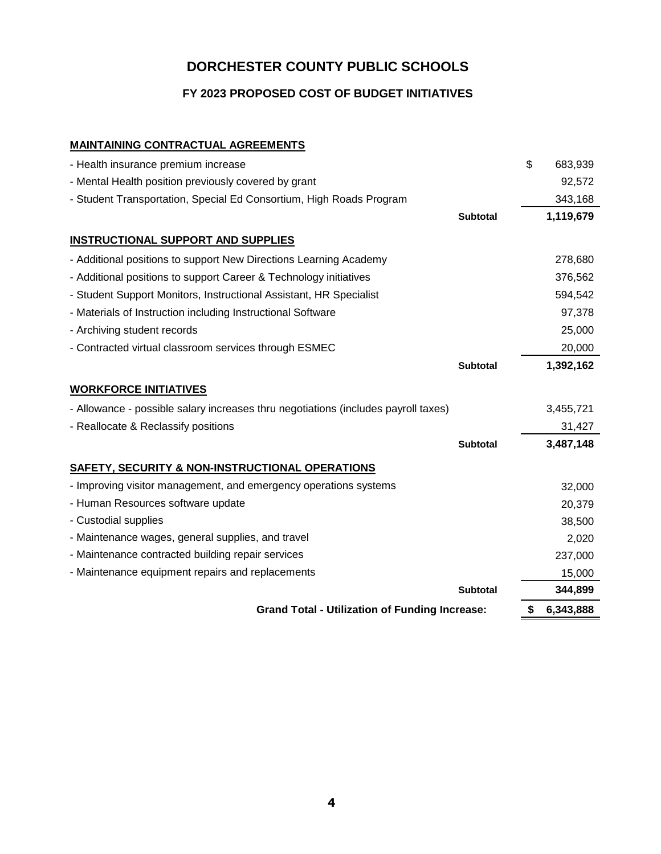**FY 2023 PROPOSED COST OF BUDGET INITIATIVES**

#### **MAINTAINING CONTRACTUAL AGREEMENTS**

| <b>Grand Total - Utilization of Funding Increase:</b>                              |                 | \$<br>6,343,888     |
|------------------------------------------------------------------------------------|-----------------|---------------------|
|                                                                                    | <b>Subtotal</b> | 344,899             |
| - Maintenance equipment repairs and replacements                                   |                 | 15,000              |
| - Maintenance contracted building repair services                                  |                 | 237,000             |
| - Maintenance wages, general supplies, and travel                                  |                 | 2,020               |
| - Custodial supplies                                                               |                 | 38,500              |
| - Human Resources software update                                                  |                 | 20,379              |
| - Improving visitor management, and emergency operations systems                   |                 | 32,000              |
| <b>SAFETY, SECURITY &amp; NON-INSTRUCTIONAL OPERATIONS</b>                         |                 |                     |
|                                                                                    | <b>Subtotal</b> | 3,487,148           |
| - Reallocate & Reclassify positions                                                |                 | 31,427              |
| - Allowance - possible salary increases thru negotiations (includes payroll taxes) |                 | 3,455,721           |
| <b>WORKFORCE INITIATIVES</b>                                                       |                 |                     |
|                                                                                    |                 |                     |
| - Contracted virtual classroom services through ESMEC                              | Subtotal        | 20,000<br>1,392,162 |
| - Archiving student records                                                        |                 |                     |
|                                                                                    |                 | 25,000              |
| - Materials of Instruction including Instructional Software                        |                 | 97,378              |
| - Student Support Monitors, Instructional Assistant, HR Specialist                 |                 | 594,542             |
| - Additional positions to support Career & Technology initiatives                  |                 | 376,562             |
| - Additional positions to support New Directions Learning Academy                  |                 | 278,680             |
| <b>INSTRUCTIONAL SUPPORT AND SUPPLIES</b>                                          |                 |                     |
|                                                                                    | <b>Subtotal</b> | 1,119,679           |
| - Student Transportation, Special Ed Consortium, High Roads Program                |                 | 343,168             |
| - Mental Health position previously covered by grant                               |                 | 92,572              |
| - Health insurance premium increase                                                |                 | \$<br>683,939       |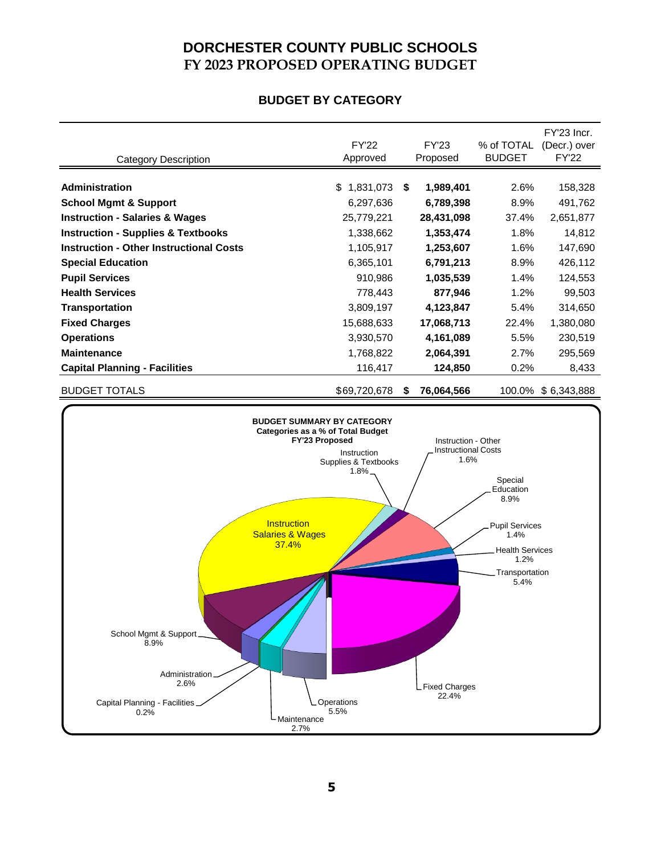## **DORCHESTER COUNTY PUBLIC SCHOOLS FY 2023 PROPOSED OPERATING BUDGET**

#### **BUDGET BY CATEGORY**

|                                                           |                                                                                                                                                           |    |                                                           |                                                                                                                           | FY'23 Incr.                  |
|-----------------------------------------------------------|-----------------------------------------------------------------------------------------------------------------------------------------------------------|----|-----------------------------------------------------------|---------------------------------------------------------------------------------------------------------------------------|------------------------------|
|                                                           | <b>FY'22</b><br>Approved                                                                                                                                  |    | <b>FY'23</b><br>Proposed                                  | % of TOTAL<br><b>BUDGET</b>                                                                                               | (Decr.) over<br><b>FY'22</b> |
| <b>Category Description</b>                               |                                                                                                                                                           |    |                                                           |                                                                                                                           |                              |
| Administration                                            | \$1,831,073                                                                                                                                               | \$ | 1,989,401                                                 | 2.6%                                                                                                                      | 158,328                      |
| <b>School Mgmt &amp; Support</b>                          | 6,297,636                                                                                                                                                 |    | 6,789,398                                                 | 8.9%                                                                                                                      | 491,762                      |
| <b>Instruction - Salaries &amp; Wages</b>                 | 25,779,221                                                                                                                                                |    | 28,431,098                                                | 37.4%                                                                                                                     | 2,651,877                    |
| <b>Instruction - Supplies &amp; Textbooks</b>             | 1,338,662                                                                                                                                                 |    | 1,353,474                                                 | 1.8%                                                                                                                      | 14,812                       |
| <b>Instruction - Other Instructional Costs</b>            | 1,105,917                                                                                                                                                 |    | 1,253,607                                                 | 1.6%                                                                                                                      | 147,690                      |
| <b>Special Education</b>                                  | 6,365,101                                                                                                                                                 |    | 6,791,213                                                 | 8.9%                                                                                                                      | 426,112                      |
| <b>Pupil Services</b>                                     | 910,986                                                                                                                                                   |    | 1,035,539                                                 | 1.4%                                                                                                                      | 124,553                      |
| <b>Health Services</b>                                    | 778,443                                                                                                                                                   |    | 877,946                                                   | 1.2%                                                                                                                      | 99,503                       |
| <b>Transportation</b>                                     | 3,809,197                                                                                                                                                 |    | 4,123,847                                                 | 5.4%                                                                                                                      | 314,650                      |
| <b>Fixed Charges</b>                                      | 15,688,633                                                                                                                                                |    | 17,068,713                                                | 22.4%                                                                                                                     | 1,380,080                    |
| <b>Operations</b>                                         | 3,930,570                                                                                                                                                 |    | 4,161,089                                                 | 5.5%                                                                                                                      | 230,519                      |
| <b>Maintenance</b>                                        | 1,768,822                                                                                                                                                 |    | 2,064,391                                                 | 2.7%                                                                                                                      | 295,569                      |
| <b>Capital Planning - Facilities</b>                      | 116,417                                                                                                                                                   |    | 124,850                                                   | 0.2%                                                                                                                      | 8,433                        |
| <b>BUDGET TOTALS</b>                                      | \$69,720,678                                                                                                                                              | S  | 76,064,566                                                |                                                                                                                           | 100.0% \$6,343,888           |
|                                                           |                                                                                                                                                           |    |                                                           |                                                                                                                           |                              |
| School Mgmt & Support_<br>8.9%<br>Administration.<br>2.6% | Categories as a % of Total Budget<br>FY'23 Proposed<br>Instruction<br>Supplies & Textbooks<br>1.8%<br>Instruction<br><b>Salaries &amp; Wages</b><br>37.4% |    | Instruction - Other<br><b>Instructional Costs</b><br>1.6% | Special<br>Education<br>8.9%<br><b>Pupil Services</b><br>1.4%<br><b>Health Services</b><br>1.2%<br>Transportation<br>5.4% |                              |
| Capital Planning - Facilities_<br>0.2%                    | Operations<br>5.5%<br>Maintenance<br>2.7%                                                                                                                 |    | Fixed Charges<br>22.4%                                    |                                                                                                                           |                              |

2.7%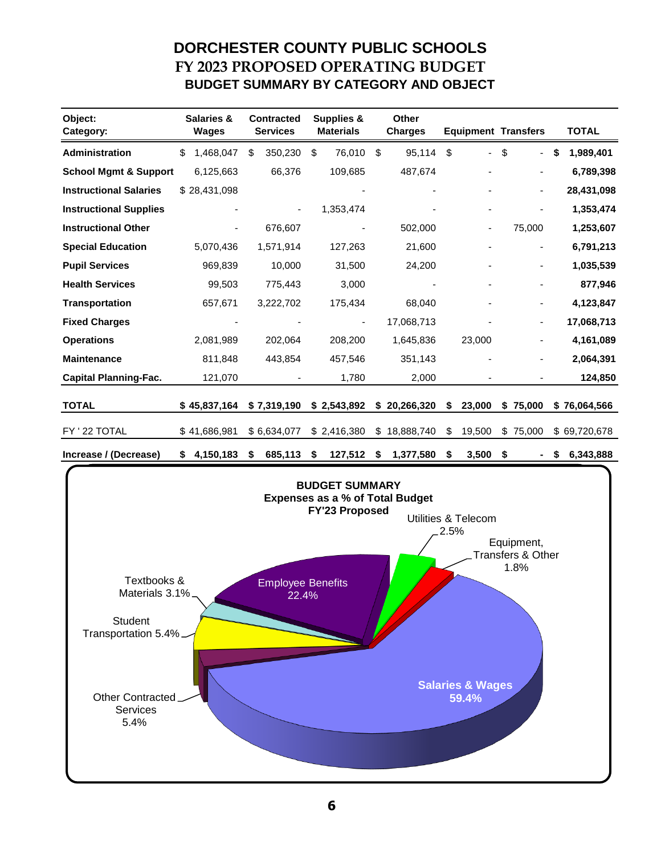# **DORCHESTER COUNTY PUBLIC SCHOOLS FY 2023 PROPOSED OPERATING BUDGET BUDGET SUMMARY BY CATEGORY AND OBJECT**

| Object:<br>Category:             | <b>Salaries &amp;</b><br><b>Wages</b> | <b>Contracted</b><br><b>Services</b> | <b>Supplies &amp;</b><br><b>Materials</b> | <b>Other</b><br><b>Charges</b> | <b>Equipment Transfers</b> |    |                          |   | <b>TOTAL</b> |
|----------------------------------|---------------------------------------|--------------------------------------|-------------------------------------------|--------------------------------|----------------------------|----|--------------------------|---|--------------|
| <b>Administration</b>            | \$<br>1,468,047                       | \$<br>350,230                        | \$<br>76,010                              | \$<br>95,114                   | \$<br>۰.                   | \$ | Ξ.                       | S | 1,989,401    |
| <b>School Mgmt &amp; Support</b> | 6,125,663                             | 66,376                               | 109,685                                   | 487,674                        |                            |    |                          |   | 6,789,398    |
| <b>Instructional Salaries</b>    | \$28,431,098                          |                                      |                                           |                                |                            |    | $\overline{\phantom{a}}$ |   | 28,431,098   |
| <b>Instructional Supplies</b>    |                                       |                                      | 1,353,474                                 |                                | $\overline{\phantom{a}}$   |    |                          |   | 1,353,474    |
| <b>Instructional Other</b>       |                                       | 676,607                              | ۰                                         | 502,000                        | $\overline{\phantom{a}}$   |    | 75,000                   |   | 1,253,607    |
| <b>Special Education</b>         | 5,070,436                             | 1,571,914                            | 127,263                                   | 21,600                         |                            |    | $\overline{\phantom{a}}$ |   | 6,791,213    |
| <b>Pupil Services</b>            | 969,839                               | 10,000                               | 31,500                                    | 24,200                         |                            |    | $\overline{\phantom{a}}$ |   | 1,035,539    |
| <b>Health Services</b>           | 99,503                                | 775,443                              | 3,000                                     |                                |                            |    |                          |   | 877,946      |
| <b>Transportation</b>            | 657,671                               | 3,222,702                            | 175,434                                   | 68,040                         |                            |    |                          |   | 4,123,847    |
| <b>Fixed Charges</b>             |                                       |                                      | ٠                                         | 17,068,713                     |                            |    |                          |   | 17,068,713   |
| <b>Operations</b>                | 2,081,989                             | 202,064                              | 208,200                                   | 1,645,836                      | 23,000                     |    |                          |   | 4,161,089    |
| <b>Maintenance</b>               | 811,848                               | 443,854                              | 457,546                                   | 351,143                        |                            |    |                          |   | 2,064,391    |
| <b>Capital Planning-Fac.</b>     | 121,070                               |                                      | 1,780                                     | 2,000                          |                            |    |                          |   | 124,850      |
| <b>TOTAL</b>                     | \$45,837,164                          | \$7,319,190                          | \$2,543,892                               | \$20,266,320                   | \$<br>23,000               |    | \$75,000                 |   | \$76,064,566 |
| FY ' 22 TOTAL                    | \$41,686,981                          | \$6,634,077                          | \$2,416,380                               | \$18,888,740                   | \$<br>19,500               | \$ | 75,000                   |   | \$69,720,678 |
| Increase / (Decrease)            | \$<br>4,150,183                       | \$<br>685,113                        | \$<br>127,512                             | \$<br>1,377,580                | \$<br>3,500                | S  |                          | S | 6,343,888    |

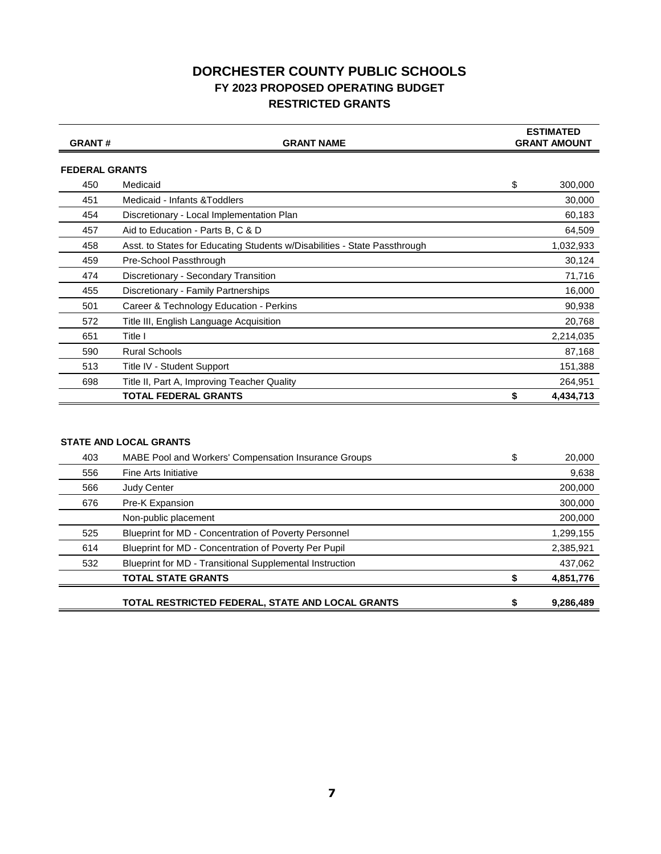#### **DORCHESTER COUNTY PUBLIC SCHOOLS FY 2023 PROPOSED OPERATING BUDGET RESTRICTED GRANTS**

| <b>GRANT#</b>         | <b>GRANT NAME</b>                                                         | <b>ESTIMATED</b><br><b>GRANT AMOUNT</b> |
|-----------------------|---------------------------------------------------------------------------|-----------------------------------------|
|                       |                                                                           |                                         |
| <b>FEDERAL GRANTS</b> |                                                                           |                                         |
| 450                   | Medicaid                                                                  | \$<br>300,000                           |
| 451                   | Medicaid - Infants & Toddlers                                             | 30,000                                  |
| 454                   | Discretionary - Local Implementation Plan                                 | 60,183                                  |
| 457                   | Aid to Education - Parts B, C & D                                         | 64,509                                  |
| 458                   | Asst. to States for Educating Students w/Disabilities - State Passthrough | 1,032,933                               |
| 459                   | Pre-School Passthrough                                                    | 30,124                                  |
| 474                   | Discretionary - Secondary Transition                                      | 71,716                                  |
| 455                   | Discretionary - Family Partnerships                                       | 16,000                                  |
| 501                   | Career & Technology Education - Perkins                                   | 90,938                                  |
| 572                   | Title III, English Language Acquisition                                   | 20,768                                  |
| 651                   | Title I                                                                   | 2,214,035                               |
| 590                   | <b>Rural Schools</b>                                                      | 87,168                                  |
| 513                   | Title IV - Student Support                                                | 151,388                                 |
| 698                   | Title II, Part A, Improving Teacher Quality                               | 264,951                                 |
|                       | <b>TOTAL FEDERAL GRANTS</b>                                               | 4,434,713                               |
|                       |                                                                           |                                         |

#### **STATE AND LOCAL GRANTS**

| 403 | MABE Pool and Workers' Compensation Insurance Groups     | 20,000    |
|-----|----------------------------------------------------------|-----------|
| 556 | Fine Arts Initiative                                     | 9,638     |
| 566 | <b>Judy Center</b>                                       | 200,000   |
| 676 | Pre-K Expansion                                          | 300,000   |
|     | Non-public placement                                     | 200,000   |
| 525 | Blueprint for MD - Concentration of Poverty Personnel    | 1,299,155 |
| 614 | Blueprint for MD - Concentration of Poverty Per Pupil    | 2,385,921 |
| 532 | Blueprint for MD - Transitional Supplemental Instruction | 437,062   |
|     | <b>TOTAL STATE GRANTS</b>                                | 4,851,776 |
|     | TOTAL RESTRICTED FEDERAL, STATE AND LOCAL GRANTS         | 9,286,489 |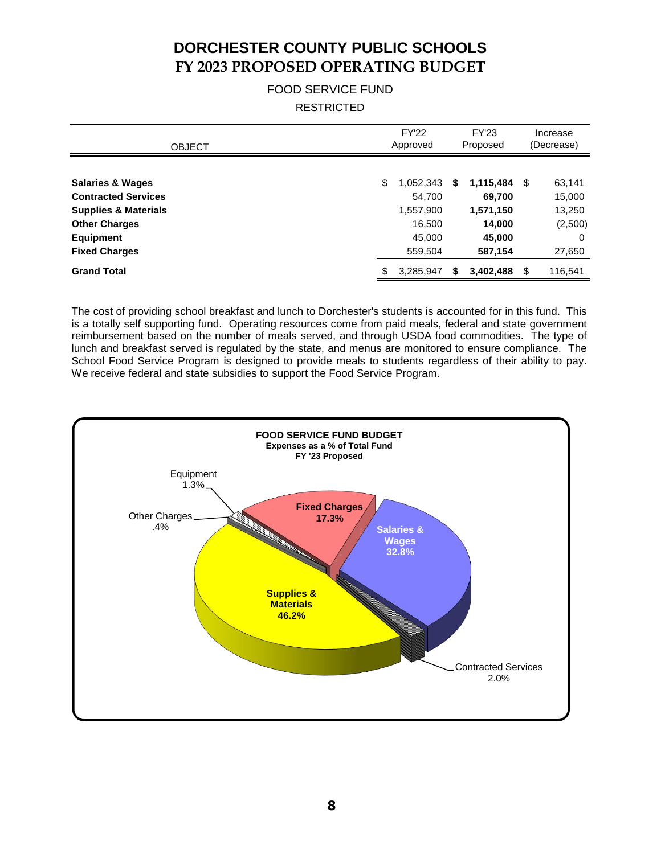# **DORCHESTER COUNTY PUBLIC SCHOOLS FY 2023 PROPOSED OPERATING BUDGET**

#### FOOD SERVICE FUND RESTRICTED

| <b>FY'22</b><br>Approved |           |                                          | <b>FY'23</b> | Increase<br>(Decrease)                               |                   |
|--------------------------|-----------|------------------------------------------|--------------|------------------------------------------------------|-------------------|
| \$                       | 1,052,343 | S                                        |              |                                                      | 63,141<br>15,000  |
|                          | 1,557,900 |                                          | 1,571,150    |                                                      | 13,250            |
|                          | 45,000    |                                          | 45,000       |                                                      | (2,500)<br>0      |
| \$                       |           | S                                        |              | \$                                                   | 27,650<br>116,541 |
|                          |           | 54,700<br>16,500<br>559,504<br>3,285,947 |              | Proposed<br>69,700<br>14,000<br>587,154<br>3,402,488 | $1,115,484$ \$    |

The cost of providing school breakfast and lunch to Dorchester's students is accounted for in this fund. This is a totally self supporting fund. Operating resources come from paid meals, federal and state government reimbursement based on the number of meals served, and through USDA food commodities. The type of lunch and breakfast served is regulated by the state, and menus are monitored to ensure compliance. The School Food Service Program is designed to provide meals to students regardless of their ability to pay. We receive federal and state subsidies to support the Food Service Program.

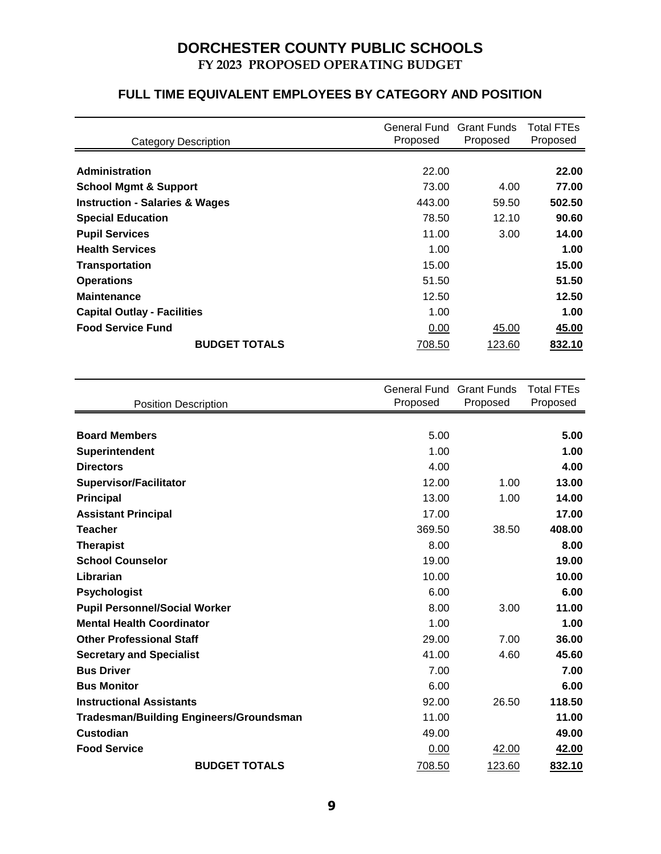## **DORCHESTER COUNTY PUBLIC SCHOOLS FY 2023 PROPOSED OPERATING BUDGET**

### **FULL TIME EQUIVALENT EMPLOYEES BY CATEGORY AND POSITION**

| <b>Category Description</b>               | General Fund Grant Funds<br>Proposed | Proposed | <b>Total FTEs</b><br>Proposed |
|-------------------------------------------|--------------------------------------|----------|-------------------------------|
|                                           |                                      |          |                               |
| <b>Administration</b>                     | 22.00                                |          | 22.00                         |
| <b>School Mgmt &amp; Support</b>          | 73.00                                | 4.00     | 77.00                         |
| <b>Instruction - Salaries &amp; Wages</b> | 443.00                               | 59.50    | 502.50                        |
| <b>Special Education</b>                  | 78.50                                | 12.10    | 90.60                         |
| <b>Pupil Services</b>                     | 11.00                                | 3.00     | 14.00                         |
| <b>Health Services</b>                    | 1.00                                 |          | 1.00                          |
| <b>Transportation</b>                     | 15.00                                |          | 15.00                         |
| <b>Operations</b>                         | 51.50                                |          | 51.50                         |
| <b>Maintenance</b>                        | 12.50                                |          | 12.50                         |
| <b>Capital Outlay - Facilities</b>        | 1.00                                 |          | 1.00                          |
| <b>Food Service Fund</b>                  | 0.00                                 | 45.00    | 45.00                         |
| <b>BUDGET TOTALS</b>                      | 708.50                               | 123.60   | 832.10                        |

|                                                | General Fund | <b>Grant Funds</b> | <b>Total FTEs</b> |
|------------------------------------------------|--------------|--------------------|-------------------|
| <b>Position Description</b>                    | Proposed     | Proposed           | Proposed          |
|                                                |              |                    |                   |
| <b>Board Members</b>                           | 5.00         |                    | 5.00              |
| Superintendent                                 | 1.00         |                    | 1.00              |
| <b>Directors</b>                               | 4.00         |                    | 4.00              |
| <b>Supervisor/Facilitator</b>                  | 12.00        | 1.00               | 13.00             |
| <b>Principal</b>                               | 13.00        | 1.00               | 14.00             |
| <b>Assistant Principal</b>                     | 17.00        |                    | 17.00             |
| <b>Teacher</b>                                 | 369.50       | 38.50              | 408.00            |
| <b>Therapist</b>                               | 8.00         |                    | 8.00              |
| <b>School Counselor</b>                        | 19.00        |                    | 19.00             |
| Librarian                                      | 10.00        |                    | 10.00             |
| <b>Psychologist</b>                            | 6.00         |                    | 6.00              |
| <b>Pupil Personnel/Social Worker</b>           | 8.00         | 3.00               | 11.00             |
| <b>Mental Health Coordinator</b>               | 1.00         |                    | 1.00              |
| <b>Other Professional Staff</b>                | 29.00        | 7.00               | 36.00             |
| <b>Secretary and Specialist</b>                | 41.00        | 4.60               | 45.60             |
| <b>Bus Driver</b>                              | 7.00         |                    | 7.00              |
| <b>Bus Monitor</b>                             | 6.00         |                    | 6.00              |
| <b>Instructional Assistants</b>                | 92.00        | 26.50              | 118.50            |
| <b>Tradesman/Building Engineers/Groundsman</b> | 11.00        |                    | 11.00             |
| <b>Custodian</b>                               | 49.00        |                    | 49.00             |
| <b>Food Service</b>                            | 0.00         | 42.00              | 42.00             |
| <b>BUDGET TOTALS</b>                           | 708.50       | 123.60             | 832.10            |